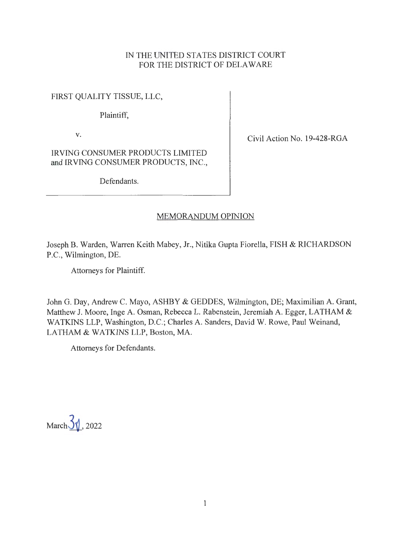## IN THE UNITED STATES DISTRICT COURT FOR THE DISTRICT OF DELAWARE

FIRST QUALITY TISSUE, LLC,

Plaintiff,

V.

Civil Action No. 19-428-RGA

IRVING CONSUMER PRODUCTS LIMITED and IRVING CONSUMER PRODUCTS, INC.,

Defendants.

# MEMORANDUM OPINION

Joseph B. Warden, Warren Keith Mabey, Jr., Nitika Gupta Fiorella, FISH & RICHARDSON P.C., Wilmington, DE.

Attorneys for Plaintiff.

John G. Day, Andrew C. Mayo, ASHBY & GEDDES, Wilmington, DE; Maximilian A. Grant, Matthew J. Moore, Inge A. Osman, Rebecca L. Rabenstein, Jeremiah A. Egger, LATHAM & WATKINS LLP, Washington, D.C.; Charles A. Sanders, David W. Rowe, Paul Weinand, LATHAM & WATKINS LLP, Boston, MA.

Attorneys for Defendants.

March  $3\sqrt{1}$ , 2022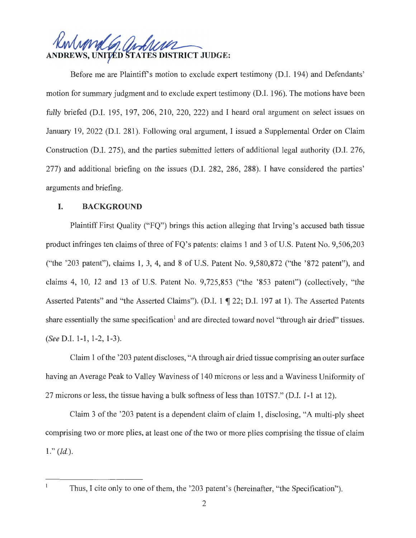**DREWS, UNITED STATES DISTRICT JUDGE:** 

Before me are Plaintiff's motion to exclude expert testimony (D.I. 194) and Defendants' motion for summary judgment and to exclude expert testimony (D.I. 196). The motions have been fully briefed (D.I. 195, 197, 206, 210, 220, 222) and I heard oral argument on select issues on January 19, 2022 (D.I. 281). Following oral argument, I issued a Supplemental Order on Claim Construction (D.I. 275), and the parties submitted letters of additional legal authority (D.I. 276, 277) and additional briefing on the issues (D.I. 282, 286, 288). I have considered the parties' arguments and briefing.

# **I. BACKGROUND**

Plaintiff First Quality ("FQ") brings this action alleging that Irving's accused bath tissue product infringes ten claims of three of FQ's patents: claims 1 and 3 of U.S. Patent No. 9,506,203 ("the '203 patent"), claims 1, 3, 4, and 8 of U.S. Patent No. 9,580,872 ("the '872 patent"), and claims 4, 10, 12 and 13 of U.S. Patent No. 9,725,853 ("the '853 patent") (collectively, "the Asserted Patents" and "the Asserted Claims"). (D.I. 1 ¶ 22; D.I. 197 at 1). The Asserted Patents share essentially the same specification<sup>1</sup> and are directed toward novel "through air dried" tissues. *(See* D.l. 1-1, 1-2, 1-3).

Claim 1 of the '203 patent discloses, "A through air dried tissue comprising an outer surface having an Average Peak to Valley Waviness of 140 microns or less and a Waviness Uniformity of 27 microns or less, the tissue having a bulk softness of less than 10TS7." (D.I. 1-1 at 12).

Claim 3 of the '203 patent is a dependent claim of claim 1, disclosing, "A multi-ply sheet comprising two or more plies, at least one of the two or more plies comprising the tissue of claim  $1.$ " *(Id.).* 

 $\mathbf{I}$ 

Thus, I cite only to one of them, the '203 patent's (hereinafter, "the Specification").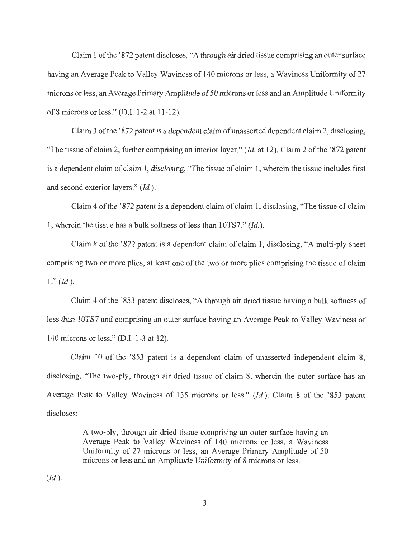Claim 1 of the' 872 patent discloses, "A through air dried tissue comprising an outer surface having an Average Peak to Valley Waviness of 140 microns or less, a Waviness Uniformity of 27 microns or less, an Average Primary Amplitude of 50 microns or less and an Amplitude Uniformity of 8 microns or less." (D.I. 1-2 at 11-12).

Claim 3 of the '872 patent is a dependent claim of unasserted dependent claim 2, disclosing, "The tissue of claim 2, further comprising an interior layer." *(Id.* at 12). Claim 2 of the '872 patent is a dependent claim of claim 1, disclosing, "The tissue of claim 1, wherein the tissue includes first and second exterior layers." *(Id.).* 

Claim 4 of the '872 patent is a dependent claim of claim 1, disclosing, "The tissue of claim" 1, wherein the tissue has a bulk softness of less than 10TS7." *(Id.)*.

Claim 8 of the '872 patent is a dependent claim of claim 1, disclosing, "A multi-ply sheet comprising two or more plies, at least one of the two or more plies comprising the tissue of claim  $1.$ " *(Id.).* 

Claim 4 of the '853 patent discloses, "A through air dried tissue having a bulk softness of less than 10TS7 and comprising an outer surface having an Average Peak to Valley Waviness of 140 microns or less." (D.1. 1-3 at 12).

Claim 10 of the  $353$  patent is a dependent claim of unasserted independent claim 8, disclosing, "The two-ply, through air dried tissue of claim 8, wherein the outer surface has an Average Peak to Valley Waviness of 135 microns or less." *(Id.).* Claim 8 of the '853 patent discloses:

> A two-ply, through air dried tissue comprising an outer surface having an Average Peak to Valley Waviness of 140 microns or less, a Waviness Uniformity of 27 microns or less, an Average Primary Amplitude of 50 microns or less and an Amplitude Uniformity of 8 microns or less.

*(Id.).*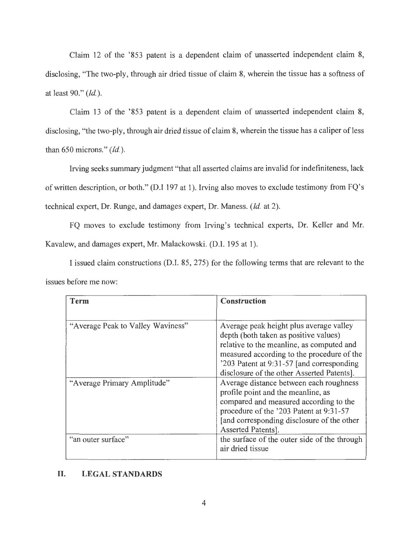Claim 12 of the '853 patent is a dependent claim of unasserted independent claim 8, disclosing, "The two-ply, through air dried tissue of claim 8, wherein the tissue has a softness of at least 90." *(Id.).* 

Claim 13 of the '853 patent is a dependent claim of unasserted independent claim 8, disclosing, "the two-ply, through air dried tissue of claim 8, wherein the tissue has a caliper of less than 650 microns." *(Id.).* 

Irving seeks summary judgment "that all asserted claims are invalid for indefiniteness, lack of written description, or both." (D.I 197 at 1). Irving also moves to exclude testimony from FQ's technical expert, Dr. Runge, and damages expert, Dr. Maness. *(Id.* at 2).

FQ moves to exclude testimony from Irving's technical experts, Dr. Keller and Mr. Kavalew, and damages expert, Mr. Malackowski. (D.I. 195 at 1).

I issued claim constructions (D.I. 85, 275) for the following terms that are relevant to the issues before me now:

| Term                              | Construction                                                                                                                                                                                                                                                           |
|-----------------------------------|------------------------------------------------------------------------------------------------------------------------------------------------------------------------------------------------------------------------------------------------------------------------|
|                                   |                                                                                                                                                                                                                                                                        |
| "Average Peak to Valley Waviness" | Average peak height plus average valley<br>depth (both taken as positive values)<br>relative to the meanline, as computed and<br>measured according to the procedure of the<br>'203 Patent at 9:31-57 [and corresponding]<br>disclosure of the other Asserted Patents. |
| "Average Primary Amplitude"       | Average distance between each roughness<br>profile point and the meanline, as<br>compared and measured according to the<br>procedure of the '203 Patent at 9:31-57<br>[and corresponding disclosure of the other<br>Asserted Patents].                                 |
| "an outer surface"                | the surface of the outer side of the through<br>air dried tissue                                                                                                                                                                                                       |

## **II. LEGAL STANDARDS**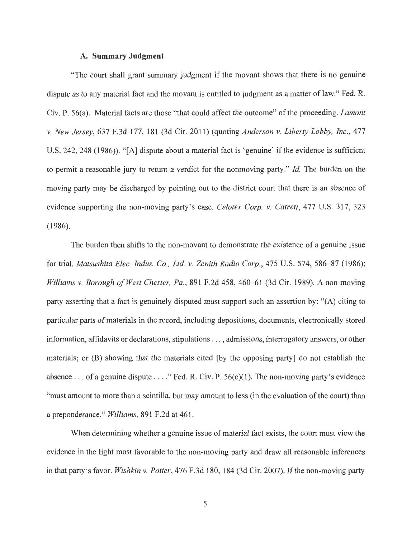## **A. Summary Judgment**

"The court shall grant summary judgment if the movant shows that there is no genuine dispute as to any material fact and the movant is entitled to judgment as a matter of law." Fed. R. Civ. P. 56(a). Material facts are those "that could affect the outcome" of the proceeding. *Lamont v. New Jersey,* 637 F.3d 177, 181 (3d Cir. 2011) (quoting *Anderson v. Liberty Lobby, Inc.,* 477 U.S. 242, 248 (1986)). "[A] dispute about a material fact is 'genuine' if the evidence is sufficient to permit a reasonable jury to return a verdict for the nonmoving party." *Id.* The burden on the moving party may be discharged by pointing out to the district court that there is an absence of evidence supporting the non-moving party's case. *Celotex Corp. v. Catrett,* 477 U.S. 317, 323 (1986).

The burden then shifts to the non-movant to demonstrate the existence of a genuine issue for trial. *Matsushita Elec. Indus. Co., Ltd. v. Zenith Radio Corp.*, 475 U.S. 574, 586–87 (1986); *Williams v. Borough of West Chester, Pa.,* 891 F.2d 458, 460-61 (3d Cir. 1989). A non-moving party asserting that a fact is genuinely disputed must support such an assertion by: "(A) citing to particular parts of materials in the record, including depositions, documents, electronically stored information, affidavits or declarations, stipulations .. . , admissions, interrogatory answers, or other materials; or (B) showing that the materials cited [by the opposing party] do not establish the absence ... of a genuine dispute ...." Fed. R. Civ. P.  $56(c)(1)$ . The non-moving party's evidence "must amount to more than a scintilla, but may amount to less (in the evaluation of the court) than a preponderance." *Williams,* 891 F.2d at 461 .

When determining whether a genuine issue of material fact exists, the court must view the evidence in the light most favorable to the non-moving party and draw all reasonable inferences in that party's favor. *Wishkin v. Potter,* 476 F.3d 180, 184 (3d Cir. 2007). If the non-moving party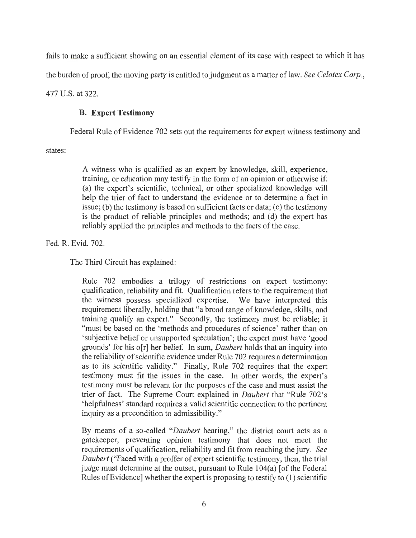fails to make a sufficient showing on an essential element of its case with respect to which it has

the burden of proof, the moving party is entitled to judgment as a matter oflaw. *See Celotex Corp.,* 

477 U.S. at 322.

# **B. Expert Testimony**

Federal Rule of Evidence 702 sets out the requirements for expert witness testimony and

states:

A witness who is qualified as an expert by knowledge, skill, experience, training, or education may testify in the form of an opinion or otherwise if: (a) the expert's scientific, technical, or other specialized knowledge will help the trier of fact to understand the evidence or to determine a fact in issue; (b) the testimony is based on sufficient facts or data; (c) the testimony is the product of reliable principles and methods; and (d) the expert has reliably applied the principles and methods to the facts of the case.

Fed. R. Evid. 702.

The Third Circuit has explained:

Rule 702 embodies a trilogy of restrictions on expert testimony: qualification, reliability and fit. Qualification refers to the requirement that the witness possess specialized expertise. We have interpreted this requirement liberally, holding that "a broad range of knowledge, skills, and training qualify an expert." Secondly, the testimony must be reliable; it "must be based on the 'methods and procedures of science' rather than on 'subjective belief or unsupported speculation'; the expert must have 'good grounds' for his o[r] her belief. In sum, *Daubert* holds that an inquiry into the reliability of scientific evidence under Rule 702 requires a determination as to its scientific validity." Finally, Rule 702 requires that the expert testimony must fit the issues in the case. In other words, the expert's testimony must be relevant for the purposes of the case and must assist the trier of fact. The Supreme Court explained in *Daubert* that "Rule 702's 'helpfulness' standard requires a valid scientific connection to the pertinent inquiry as a precondition to admissibility."

By means of a so-called *"Daubert* hearing," the district court acts as a gatekeeper, preventing opinion testimony that does not meet the requirements of qualification, reliability and fit from reaching the jury. *See Daubert* ("Faced with a proffer of expert scientific testimony, then, the trial judge must determine at the outset, pursuant to Rule 104(a) [of the Federal Rules of Evidence] whether the expert is proposing to testify to (1) scientific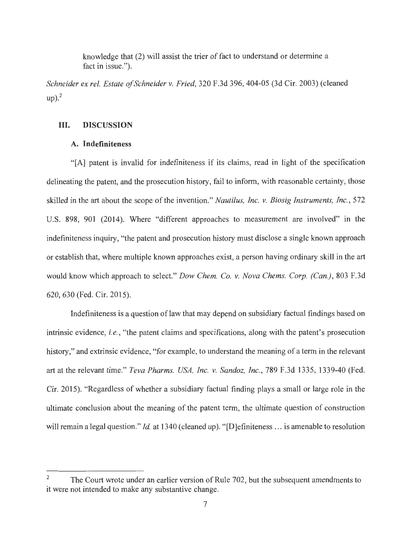knowledge that (2) will assist the trier of fact to understand or determine a fact in issue.").

*Schneider ex rel. Estate of Schneider v. Fried,* 320 F.3d 396, 404-05 (3d Cir. 2003) (cleaned  $up)$ .<sup>2</sup>

## III. **DISCUSSION**

## **A. Indefiniteness**

"[A] patent is invalid for indefiniteness if its claims, read in light of the specification delineating the patent, and the prosecution history, fail to inform, with reasonable certainty, those skilled in the art about the scope of the invention." *Nautilus, Inc. v. Biosig Instruments, Inc.,* 572 U.S. 898, 901 (2014). Where "different approaches to measurement are involved" in the indefiniteness inquiry, "the patent and prosecution history must disclose a single known approach or establish that, where multiple known approaches exist, a person having ordinary skill in the art would know which approach to select." *Dow Chem. Co. v. Nova Chems. Corp. (Can.),* 803 F.3d 620, 630 (Fed. Cir. 2015).

Indefiniteness is a question of law that may depend on subsidiary factual findings based on intrinsic evidence, *i.e. ,* "the patent claims and specifications, along with the patent's prosecution history," and extrinsic evidence, "for example, to understand the meaning of a term in the relevant art at the relevant time." *Teva Pharms. USA, Inc. v. Sandoz, Inc.,* 789 F.3d 1335, 1339-40 (Fed. Cir. 2015). "Regardless of whether a subsidiary factual finding plays a small or large role in the ultimate conclusion about the meaning of the patent term, the ultimate question of construction will remain a legal question." *Id.* at 1340 (cleaned up). "[D]efiniteness ... is amenable to resolution

<sup>&</sup>lt;sup>2</sup> The Court wrote under an earlier version of Rule 702, but the subsequent amendments to it were not intended to make any substantive change.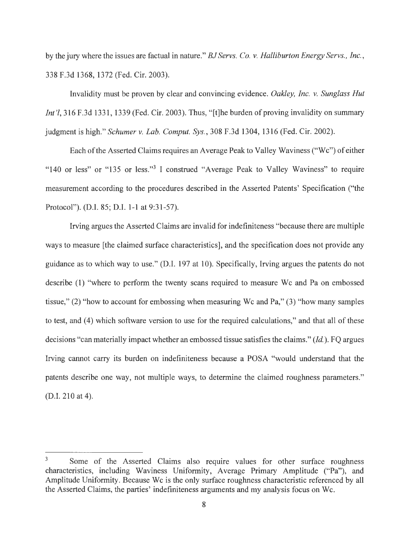by the jury where the issues are factual in nature." *BJ Servs. Co. v. Halliburton Energy Servs., Inc.,*  338 F.3d 1368, 1372 (Fed. Cir. 2003).

Invalidity must be proven by clear and convincing evidence. *Oakley, Inc. v. Sunglass Hut Int* <sup>'</sup>*l*, 316 F.3d 1331, 1339 (Fed. Cir. 2003). Thus, "[t]he burden of proving invalidity on summary judgment is high." *Schumer v. Lab. Comput. Sys.,* 308 F.3d 1304, 1316 (Fed. Cir. 2002).

Each of the Asserted Claims requires an Average Peak to Valley Waviness ("Wc") of either "140 or less" or "135 or less."<sup>3</sup> I construed "Average Peak to Valley Waviness" to require measurement according to the procedures described in the Asserted Patents' Specification ("the Protocol"). (D.I. 85; D.I. 1-1 at 9:31-57).

Irving argues the Asserted Claims are invalid for indefiniteness "because there are multiple ways to measure [the claimed surface characteristics], and the specification does not provide any guidance as to which way to use." (D.I. 197 at 10). Specifically, Irving argues the patents do not describe (1) "where to perform the twenty scans required to measure We and Pa on embossed tissue," (2) "how to account for embossing when measuring We and Pa," (3) "how many samples to test, and (4) which software version to use for the required calculations," and that all of these decisions "can materially impact whether an embossed tissue satisfies the claims." *(Id.).* FQ argues Irving cannot carry its burden on indefiniteness because a POSA "would understand that the patents describe one way, not multiple ways, to determine the claimed roughness parameters." (D.I. 210 at 4).

<sup>&</sup>lt;sup>3</sup> Some of the Asserted Claims also require values for other surface roughness characteristics, including Waviness Uniformity, Average Primary Amplitude ("Pa"), and Amplitude Uniformity. Because We is the only surface roughness characteristic referenced by all the Asserted Claims, the parties' indefiniteness arguments and my analysis focus on Wc.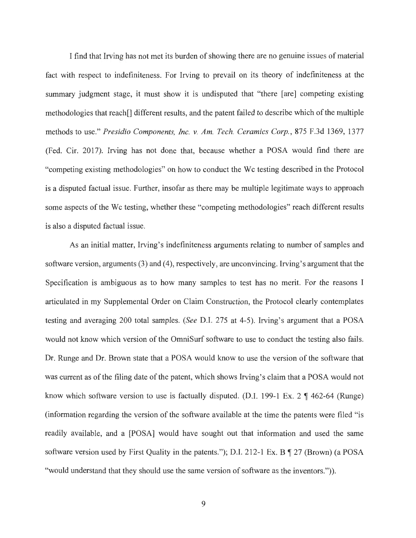I find that Irving has not met its burden of showing there are no genuine issues of material fact with respect to indefiniteness. For Irving to prevail on its theory of indefiniteness at the summary judgment stage, it must show it is undisputed that "there [are] competing existing methodologies that reach[] different results, and the patent failed to describe which of the multiple methods to use." *Presidio Components, Inc. v. Am. Tech. Ceramics Corp.,* 875 F.3d 1369, 1377 (Fed. Cir. 2017). Irving has not done that, because whether a POSA would find there are "competing existing methodologies" on how to conduct the Wc testing described in the Protocol is a disputed factual issue. Further, insofar as there may be multiple legitimate ways to approach some aspects of the We testing, whether these "competing methodologies" reach different results is also a disputed factual issue.

As an initial matter, Irving's indefiniteness arguments relating to number of samples and software version, arguments (3) and (4), respectively, are unconvincing. Irving's argument that the Specification is ambiguous as to how many samples to test has no merit. For the reasons I articulated in my Supplemental Order on Claim Construction, the Protocol clearly contemplates testing and averaging 200 total samples. *(See* D.I. 275 at 4-5). Irving's argument that a POSA would not know which version of the OmniSurf software to use to conduct the testing also fails. Dr. Runge and Dr. Brown state that a POSA would know to use the version of the software that was current as of the filing date of the patent, which shows Irving's claim that a POSA would not know which software version to use is factually disputed. (D.I. 199-1 Ex. 2  $\parallel$  462-64 (Runge) (information regarding the version of the software available at the time the patents were filed "is readily available, and a [POSA] would have sought out that information and used the same software version used by First Quality in the patents."); D.I. 212-1 Ex. B  $\P$  27 (Brown) (a POSA "would understand that they should use the same version of software as the inventors.")).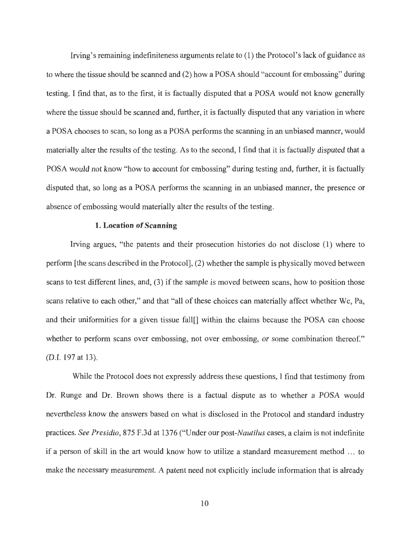Irving's remaining indefiniteness arguments relate to (1) the Protocol's lack of guidance as to where the tissue should be scanned and (2) how a POSA should "account for embossing" during testing. I find that, as to the first, it is factually disputed that a POSA would not know generally where the tissue should be scanned and, further, it is factually disputed that any variation in where a POSA chooses to scan, so long as a POSA performs the scanning in an unbiased manner, would materially alter the results of the testing. As to the second, I find that it is factually disputed that a POSA would not know "how to account for embossing" during testing and, further, it is factually disputed that, so long as a POSA performs the scanning in an unbiased manner, the presence or absence of embossing would materially alter the results of the testing.

#### **1. Location of Scanning**

Irving argues, "the patents and their prosecution histories do not disclose (1) where to perform [the scans described in the Protocol], (2) whether the sample is physically moved between scans to test different lines, and, (3) if the sample is moved between scans, how to position those scans relative to each other," and that "all of these choices can materially affect whether We, Pa, and their uniformities for a given tissue fall[] within the claims because the POSA can choose whether to perform scans over embossing, not over embossing, or some combination thereof." (D.1. 197 at 13).

While the Protocol does not expressly address these questions, I find that testimony from Dr. Runge and Dr. Brown shows there is a factual dispute as to whether a POSA would nevertheless know the answers based on what is disclosed in the Protocol and standard industry practices. *See Presidio,* 875 F.3d at 1376 ("Under our *post-Nautilus* cases, a claim is not indefinite if a person of skill in the art would know how to utilize a standard measurement method ... to make the necessary measurement. A patent need not explicitly include information that is already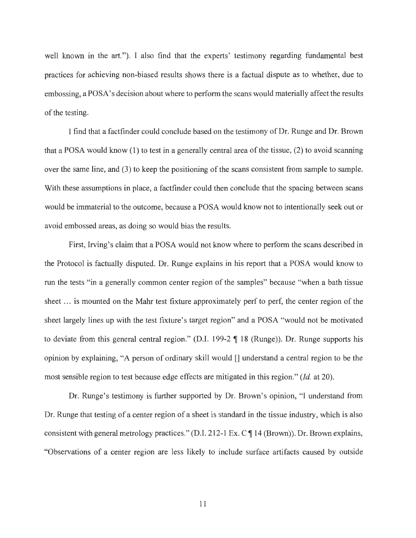well known in the art."). I also find that the experts' testimony regarding fundamental best practices for achieving non-biased results shows there is a factual dispute as to whether, due to embossing, a POSA' s decision about where to perform the scans would materially affect the results of the testing.

I find that a factfinder could conclude based on the testimony of Dr. Runge and Dr. Brown that a POSA would know (1) to test in a generally central area of the tissue, (2) to avoid scanning over the same line, and (3) to keep the positioning of the scans consistent from sample to sample. With these assumptions in place, a factfinder could then conclude that the spacing between scans would be immaterial to the outcome, because a POSA would know not to intentionally seek out or avoid embossed areas, as doing so would bias the results.

First, Irving's claim that a POSA would not know where to perform the scans described in the Protocol is factually disputed. Dr. Runge explains in his report that a POSA would know to run the tests "in a generally common center region of the samples" because "when a bath tissue sheet ... is mounted on the Mahr test fixture approximately perf to perf, the center region of the sheet largely lines up with the test fixture 's target region" and a POSA "would not be motivated to deviate from this general central region." (D.I. 199-2  $\P$  18 (Runge)). Dr. Runge supports his opinion by explaining, "A person of ordinary skill would [] understand a central region to be the most sensible region to test because edge effects are mitigated in this region." *(Id.* at 20).

Dr. Runge's testimony is further supported by Dr. Brown's opinion, "I understand from Dr. Runge that testing of a center region of a sheet is standard in the tissue industry, which is also consistent with general metrology practices." (D.I. 212-1 Ex. C  $\P$  14 (Brown)). Dr. Brown explains, "Observations of a center region are less likely to include surface artifacts caused by outside

11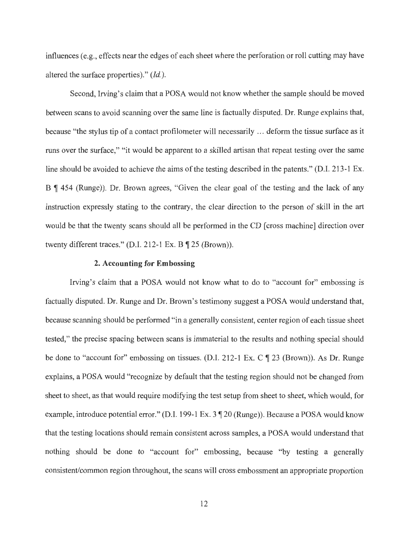influences (e.g., effects near the edges of each sheet where the perforation or roll cutting may have altered the surface properties)." *(Id.).* 

Second, Irving's claim that a POSA would not know whether the sample should be moved between scans to avoid scanning over the same line is factually disputed. Dr. Runge explains that, because "the stylus tip of a contact profilometer will necessarily .. . deform the tissue surface as it runs over the surface," "it would be apparent to a skilled artisan that repeat testing over the same line should be avoided to achieve the aims of the testing described in the patents." (D.I. 213-1 Ex. B ¶ 454 (Runge)). Dr. Brown agrees, "Given the clear goal of the testing and the lack of any instruction expressly stating to the contrary, the clear direction to the person of skill in the art would be that the twenty scans should all be performed in the CD [ cross machine] direction over twenty different traces." (D.I. 212-1 Ex. B  $\P$  25 (Brown)).

## **2. Accounting for Embossing**

Irving's claim that a POSA would not know what to do to "account for" embossing is factually disputed. Dr. Runge and Dr. Brown's testimony suggest a POSA would understand that, because scanning should be performed "in a generally consistent, center region of each tissue sheet tested," the precise spacing between scans is immaterial to the results and nothing special should be done to "account for" embossing on tissues. (D.I. 212-1 Ex. C  $\parallel$  23 (Brown)). As Dr. Runge explains, a POSA would "recognize by default that the testing region should not be changed from sheet to sheet, as that would require modifying the test setup from sheet to sheet, which would, for example, introduce potential error." (D.I. 199-1 Ex. 3 \[ 20 (Runge)). Because a POSA would know that the testing locations should remain consistent across samples, a POSA would understand that nothing should be done to "account for" embossing, because "by testing a generally consistent/common region throughout, the scans will cross embossment an appropriate proportion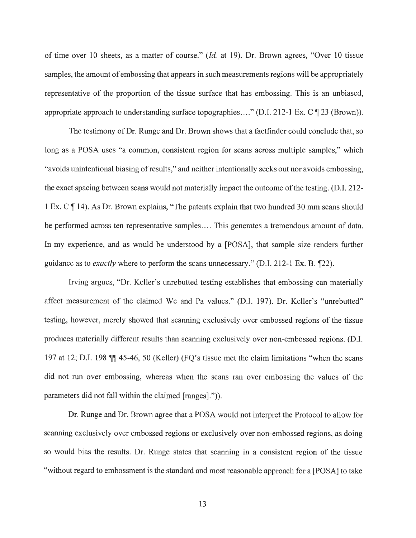of time over 10 sheets, as a matter of course." *(Id.* at 19). Dr. Brown agrees, "Over 10 tissue samples, the amount of embossing that appears in such measurements regions will be appropriately representative of the proportion of the tissue surface that has embossing. This is an unbiased, appropriate approach to understanding surface topographies...." (D.I. 212-1 Ex. C  $\P$  23 (Brown)).

The testimony of Dr. Runge and Dr. Brown shows that a factfinder could conclude that, so long as a POSA uses "a common, consistent region for scans across multiple samples," which "avoids unintentional biasing of results," and neither intentionally seeks out nor avoids embossing, the exact spacing between scans would not materially impact the outcome of the testing. (D.I. 212- 1 Ex. C  $\P$  14). As Dr. Brown explains, "The patents explain that two hundred 30 mm scans should be performed across ten representative samples.... This generates a tremendous amount of data. In my experience, and as would be understood by a [POSA], that sample size renders further guidance as to *exactly* where to perform the scans unnecessary." (D.I. 212-1 Ex. B. 122).

Irving argues, "Dr. Keller's unrebutted testing establishes that embossing can materially affect measurement of the claimed We and Pa values." (D.I. 197). Dr. Keller's "unrebutted" testing, however, merely showed that scanning exclusively over embossed regions of the tissue produces materially different results than scanning exclusively over non-embossed regions. (D.1. 197 at 12; D.I. 198 **|| 45-46**, 50 (Keller) (FQ's tissue met the claim limitations "when the scans" did not run over embossing, whereas when the scans ran over embossing the values of the parameters did not fall within the claimed [ranges].")).

Dr. Runge and Dr. Brown agree that a POSA would not interpret the Protocol to allow for scanning exclusively over embossed regions or exclusively over non-embossed regions, as doing so would bias the results. Dr. Runge states that scanning in a consistent region of the tissue "without regard to embossment is the standard and most reasonable approach for a [POSA] to take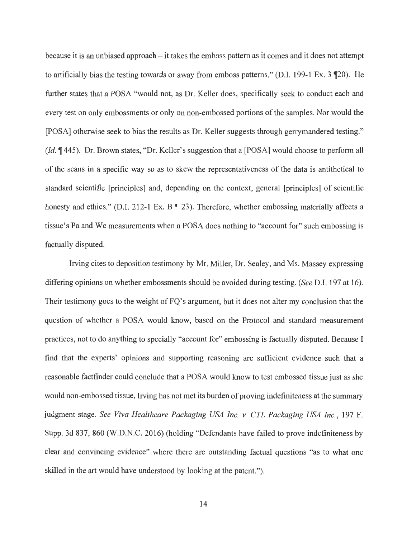because it is an unbiased approach – it takes the emboss pattern as it comes and it does not attempt to artificially bias the testing towards or away from emboss patterns." (D.I. 199-1 Ex.  $3 \text{ } \mathcal{P}(20)$ ). He further states that a POSA "would not, as Dr. Keller does, specifically seek to conduct each and every test on only embossments or only on non-embossed portions of the samples. Nor would the [POSA] otherwise seek to bias the results as Dr. Keller suggests through gerrymandered testing." *(Id.*  $\P$  445). Dr. Brown states, "Dr. Keller's suggestion that a [POSA] would choose to perform all of the scans in a specific way so as to skew the representativeness of the data is antithetical to standard scientific [principles] and, depending on the context, general [principles] of scientific honesty and ethics." (D.I. 212-1 Ex. B  $\P$  23). Therefore, whether embossing materially affects a tissue's Pa and We measurements when a POSA does nothing to "account for" such embossing is factually disputed.

Irving cites to deposition testimony by Mr. Miller, Dr. Sealey, and Ms. Massey expressing differing opinions on whether embossments should be avoided during testing. *(See* D.I. 197 at 16). Their testimony goes to the weight of FQ's argument, but it does not alter my conclusion that the question of whether a POSA would know, based on the Protocol and standard measurement practices, not to do anything to specially "account for" embossing is factually disputed. Because I find that the experts' opinions and supporting reasoning are sufficient evidence such that a reasonable factfinder could conclude that a POSA would know to test embossed tissue just as she would non-embossed tissue, Irving has not met its burden of proving indefiniteness at the summary judgment stage. *See Viva Healthcare Packaging USA Inc. v. CTL Packaging USA Inc.,* 197 F. Supp. 3d 837, 860 (W.D.N.C. 2016) (holding "Defendants have failed to prove indefiniteness by clear and convincing evidence" where there are outstanding factual questions "as to what one skilled in the art would have understood by looking at the patent.").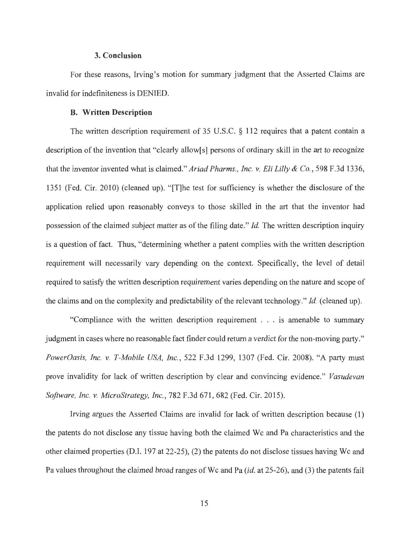#### **3. Conclusion**

For these reasons, Irving's motion for summary judgment that the Asserted Claims are invalid for indefiniteness is DENIED.

## **B. Written Description**

The written description requirement of 35 U.S.C. § 112 requires that a patent contain a description of the invention that "clearly allow[s] persons of ordinary skill in the art to recognize that the inventor invented what is claimed." *Ariad Pharms., Inc. v. Eli Lilly & Co.,* 598 F.3d 1336, 1351 (Fed. Cir. 2010) (cleaned up). "[T]he test for sufficiency is whether the disclosure of the application relied upon reasonably conveys to those skilled in the art that the inventor had possession of the claimed subject matter as of the filing date." *Id.* The written description inquiry is a question of fact. Thus, "determining whether a patent complies with the written description requirement will necessarily vary depending on the context. Specifically, the level of detail required to satisfy the written description requirement varies depending on the nature and scope of the claims and on the complexity and predictability of the relevant technology." *Id.* (cleaned up).

"Compliance with the written description requirement . . . is amenable to summary judgment in cases where no reasonable fact finder could return a verdict for the non-moving party." *PowerOasis, Inc. v. T-Mobile USA, Inc.,* 522 F.3d 1299, 1307 (Fed. Cir. 2008). "A party must prove invalidity for lack of written description by clear and convincing evidence." *Vasudevan Software, Inc. v. MicroStrategy, Inc.,* 782 F.3d 671 , 682 (Fed. Cir. 2015).

Irving argues the Asserted Claims are invalid for lack of written description because (1) the patents do not disclose any tissue having both the claimed We and Pa characteristics and the other claimed properties (D.I. 197 at 22-25), (2) the patents do not disclose tissues having We and Pa values throughout the claimed broad ranges of We and Pa (id. at 25-26), and (3) the patents fail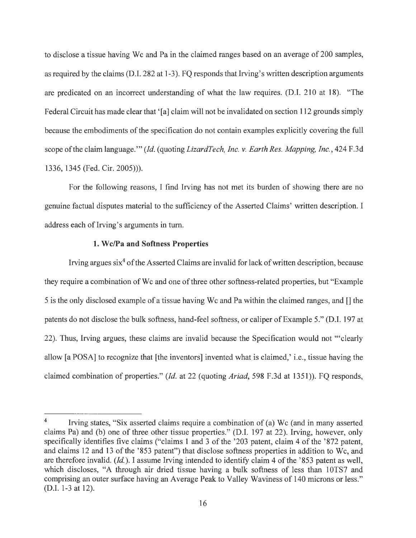to disclose a tissue having Wc and Pa in the claimed ranges based on an average of 200 samples, as required by the claims (D.I. 282 at 1-3). FQ responds that Irving's written description arguments are predicated on an incorrect understanding of what the law requires. (D.I. 210 at 18). "The Federal Circuit has made clear that '[a] claim will not be invalidated on section 112 grounds simply because the embodiments of the specification do not contain examples explicitly covering the full scope of the claim language."' *(Id.* ( quoting *LizardTech, Inc. v. Earth Res. Mapping, Inc.,* 424 F .3d 1336, 1345 (Fed. Cir. 2005))).

For the following reasons, I find Irving has not met its burden of showing there are no genuine factual disputes material to the sufficiency of the Asserted Claims' written description. I address each of Irving's arguments in turn.

## **1. W c/Pa and Softness Properties**

Irving argues  $\sin^4$  of the Asserted Claims are invalid for lack of written description, because they require a combination of Wc and one of three other softness-related properties, but "Example" 5 is the only disclosed example of a tissue having Wc and Pa within the claimed ranges, and  $\Box$  the patents do not disclose the bulk softness, hand-feel softness, or caliper of Example 5." (D.I. 197 at 22). Thus, Irving argues, these claims are invalid because the Specification would not "'clearly allow [a POSA] to recognize that [the inventors] invented what is claimed,' i.e., tissue having the claimed combination of properties." *(Id.* at 22 (quoting *Ariad,* 598 F.3d at 1351)). FQ responds,

<sup>&</sup>lt;sup>4</sup> Irving states, "Six asserted claims require a combination of (a) Wc (and in many asserted claims Pa) and (b) one of three other tissue properties." (D.I. 197 at 22). Irving, however, only specifically identifies five claims ("claims 1 and 3 of the '203 patent, claim 4 of the '872 patent, and claims 12 and 13 of the '853 patent") that disclose softness properties in addition to Wc, and are therefore invalid. *(Id.).* I assume Irving intended to identify claim 4 of the '853 patent as well, which discloses, "A through air dried tissue having a bulk softness of less than 10TS7 and comprising an outer surface having an Average Peak to Valley Waviness of 140 microns or less." (D.I.1-3 at 12).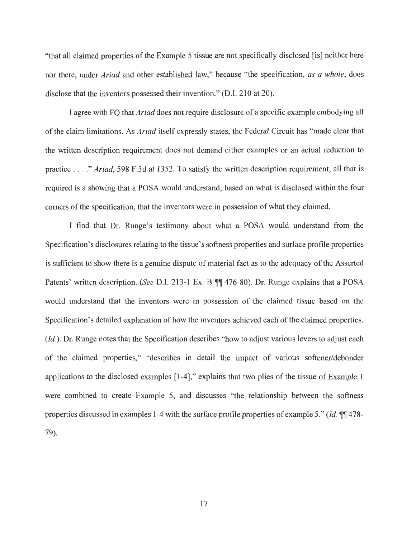"that all claimed properties of the Example 5 tissue are not specifically disclosed [is] neither here nor there, under *Ariad* and other established law," because "the specification, *as a whole,* does disclose that the inventors possessed their invention." (D.I. 210 at 20).

I agree with FQ that *Ariad* does not require disclosure of a specific example embodying all of the claim limitations. As *Ariad* itself expressly states, the Federal Circuit has "made clear that the written description requirement does not demand either examples or an actual reduction to practice .... " *Ariad,* 598 F.3d at 1352. To satisfy the written description requirement, all that is required is a showing that a POSA would understand, based on what is disclosed within the four comers of the specification, that the inventors were in possession of what they claimed.

I find that Dr. Runge's testimony about what a POSA would understand from the Specification's disclosures relating to the tissue's softness properties and surface profile properties is sufficient to show there is a genuine dispute of material fact as to the adequacy of the Asserted Patents' written description. *(See D.I. 213-1 Ex. B ¶f 476-80)*. Dr. Runge explains that a POSA would understand that the inventors were in possession of the claimed tissue based on the Specification's detailed explanation of how the inventors achieved each of the claimed properties. *(Id.).* Dr. Runge notes that the Specification describes "how to adjust various levers to adjust each of the claimed properties," "describes in detail the impact of various softener/debonder applications to the disclosed examples [1-4]," explains that two plies of the tissue of Example 1 were combined to create Example 5, and discusses "the relationship between the softness properties discussed in examples 1-4 with the surface profile properties of example 5." *(Id.*  $\P$  478-79).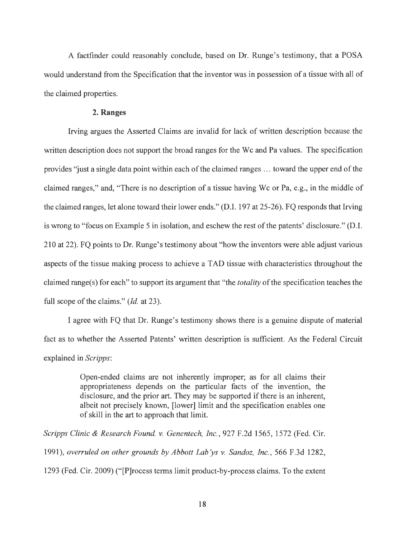A factfinder could reasonably conclude, based on Dr. Runge's testimony, that a POSA would understand from the Specification that the inventor was in possession of a tissue with all of the claimed properties.

## **2. Ranges**

Irving argues the Asserted Claims are invalid for lack of written description because the written description does not support the broad ranges for the Wc and Pa values. The specification provides 'just a single data point within each of the claimed ranges ... toward the upper end of the claimed ranges," and, "There is no description of a tissue having We or Pa, e.g., in the middle of the claimed ranges, let alone toward their lower ends." (D.I. 197 at 25-26). FQ responds that Irving is wrong to "focus on Example 5 in isolation, and eschew the rest of the patents' disclosure." (D.I. 210 at 22). FQ points to Dr. Runge's testimony about "how the inventors were able adjust various aspects of the tissue making process to achieve a TAD tissue with characteristics throughout the claimed range(s) for each" to support its argument that "the *totality* of the specification teaches the full scope of the claims." *(Id.* at 23).

I agree with FQ that Dr. Runge's testimony shows there is a genuine dispute of material fact as to whether the Asserted Patents' written description is sufficient. As the Federal Circuit explained in *Scripps:* 

> Open-ended claims are not inherently improper; as for all claims their appropriateness depends on the particular facts of the invention, the disclosure, and the prior art. They may be supported if there is an inherent, albeit not precisely known, [lower] limit and the specification enables one of skill in the art to approach that limit.

*Scripps Clinic & Research Found. v. Genentech, Inc.,* 927 F.2d 1565, 1572 (Fed. Cir. 1991), *overruled on other grounds by Abbott Lab 'ys v. Sandoz, Inc.,* 566 F.3d 1282, 1293 (Fed. Cir. 2009) ("[P]rocess terms limit product-by-process claims. To the extent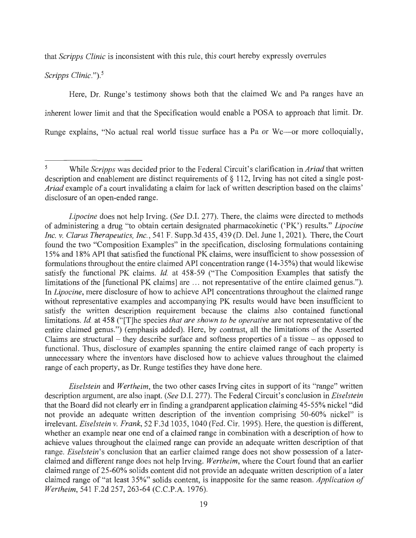that *Scripps Clinic* is inconsistent with this rule, this court hereby expressly overrules

*Scripps Clinic."). <sup>5</sup>*

Here, Dr. Runge's testimony shows both that the claimed Wc and Pa ranges have an inherent lower limit and that the Specification would enable a POSA to approach that limit. Dr. Runge explains, "No actual real world tissue surface has a Pa or Wc—or more colloquially,

*Eiselstein* and *Wertheim,* the two other cases Irving cites in support of its "range" written description argument, are also inapt. *(See* D.I. 277). The Federal Circuit's conclusion in *Eiselstein*  that the Board did not clearly err in finding a grandparent application claiming 45-55% nickel "did not provide an adequate written description of the invention comprising 50-60% nickel" is irrelevant. *Eiselstein v. Frank,* 52 F.3d 1035, 1040 (Fed. Cir. 1995). Here, the question is different, whether an example near one end of a claimed range in combination with a description of how to achieve values throughout the claimed range can provide an adequate written description of that range. *Eiselstein's* conclusion that an earlier claimed range does not show possession of a laterclaimed and different range does not help Irving. *Wertheim,* where the Court found that an earlier claimed range of 25-60% solids content did not provide an adequate written description of a later claimed range of "at least 35%" solids content, is inapposite for the same reason. *Application of Wertheim,* 541 F.2d 257, 263-64 (C.C.P.A. 1976).

<sup>5</sup> While *Scripps* was decided prior to the Federal Circuit's clarification in *Ariad* that written description and enablement are distinct requirements of§ 112, Irving has not cited a single post-*Ariad* example of a court invalidating a claim for lack of written description based on the claims' disclosure of an open-ended range.

*Lipocine* does not help Irving. *(See* D.I. 277). There, the claims were directed to methods of administering a drug "to obtain certain designated pharmacokinetic ('PK') results." *Lipocine Inc. v. Clarus Therapeutics, Inc.,* 541 F. Supp.3d 435,439 (D. Del. June 1, 2021). There, the Court found the two "Composition Examples" in the specification, disclosing formulations containing 15% and 18% API that satisfied the functional PK claims, were insufficient to show possession of formulations throughout the entire claimed API concentration range (14-35%) that would likewise satisfy the functional PK claims. *Id.* at 458-59 ("The Composition Examples that satisfy the limitations of the [functional PK claims] are ... not representative of the entire claimed genus."). In *Lipocine,* mere disclosure of how to achieve API concentrations throughout the claimed range without representative examples and accompanying PK results would have been insufficient to satisfy the written description requirement because the claims also contained functional limitations. *Id.* at 458 ("[T]he species *that are shown to be operative* are not representative of the entire claimed genus.") ( emphasis added). Here, by contrast, all the limitations of the Asserted Claims are structural – they describe surface and softness properties of a tissue – as opposed to functional. Thus, disclosure of examples spanning the entire claimed range of each property is unnecessary where the inventors have disclosed how to achieve values throughout the claimed range of each property, as Dr. Runge testifies they have done here.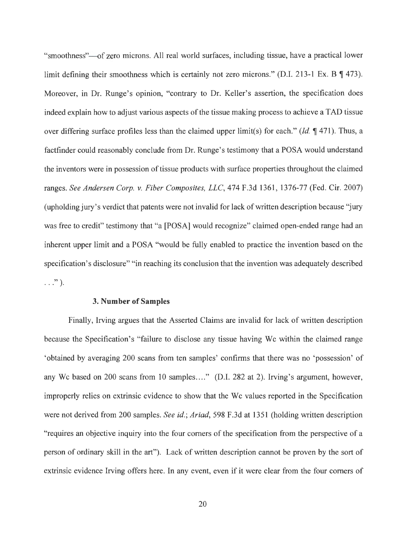"smoothness"—of zero microns. All real world surfaces, including tissue, have a practical lower limit defining their smoothness which is certainly not zero microns." (D.I. 213-1 Ex. B  $\P$  473). Moreover, in Dr. Runge's opinion, "contrary to Dr. Keller's assertion, the specification does indeed explain how to adjust various aspects of the tissue making process to achieve a TAD tissue over differing surface profiles less than the claimed upper limit(s) for each." *(Id.*  $\mathbb{I}$  471). Thus, a factfinder could reasonably conclude from Dr. Runge 's testimony that a POSA would understand the inventors were in possession of tissue products with surface properties throughout the claimed ranges. *See Andersen Corp. v. Fiber Composites, LLC,* 474 F.3d 1361, 1376-77 (Fed. Cir. 2007) (upholding jury's verdict that patents were not invalid for lack of written description because "jury" was free to credit" testimony that "a [POSA] would recognize" claimed open-ended range had an inherent upper limit and a POSA "would be fully enabled to practice the invention based on the specification's disclosure" "in reaching its conclusion that the invention was adequately described  $\ldots$  " ).

#### **3. Number of Samples**

Finally, Irving argues that the Asserted Claims are invalid for lack of written description because the Specification's "failure to disclose any tissue having We within the claimed range 'obtained by averaging 200 scans from ten samples' confirms that there was no 'possession' of any We based on 200 scans from 10 samples...." (D.I. 282 at 2). Irving's argument, however, improperly relies on extrinsic evidence to show that the Wc values reported in the Specification were not derived from 200 samples. *See id.; Ariad,* 598 F.3d at 1351 (holding written description "requires an objective inquiry into the four comers of the specification from the perspective of a person of ordinary skill in the art"). Lack of written description cannot be proven by the sort of extrinsic evidence Irving offers here. In any event, even if it were clear from the four comers of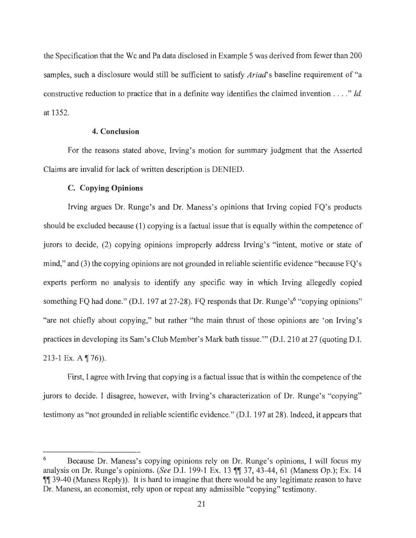the Specification that the Wc and Pa data disclosed in Example 5 was derived from fewer than 200 samples, such a disclosure would still be sufficient to satisfy *Ariad's* baseline requirement of "a constructive reduction to practice that in a definite way identifies the claimed invention .... " *Id*  at 1352.

## **4. Conclusion**

For the reasons stated above, Irving's motion for summary judgment that the Asserted Claims are invalid for lack of written description is DENIED.

## **C. Copying Opinions**

Irving argues Dr. Runge's and Dr. Maness's opinions that Irving copied FQ's products should be excluded because (1) copying is a factual issue that is equally within the competence of jurors to decide, (2) copying opinions improperly address Irving's "intent, motive or state of mind," and (3) the copying opinions are not grounded in reliable scientific evidence "because FQ's experts perform no analysis to identify any specific way in which Irving allegedly copied something FQ had done." (D.I. 197 at  $27-28$ ). FQ responds that Dr. Runge's<sup>6</sup> "copying opinions" "are not chiefly about copying," but rather "the main thrust of those opinions are 'on Irving's practices in developing its Sam's Club Member's Mark bath tissue."' (D.I. 210 at 27 (quoting D.I. 213-1 Ex. A **176)).** 

First, I agree with Irving that copying is a factual issue that is within the competence of the jurors to decide. I disagree, however, with Irving's characterization of Dr. Runge's "copying" testimony as "not grounded in reliable scientific evidence." (D.I. 197 at 28). Indeed, it appears that

<sup>6</sup> Because Dr. Maness's copying opinions rely on Dr. Runge's opinions, I will focus my analysis on Dr. Runge's opinions. *(See* D.I. 199-1 Ex. 13 **1137,** 43-44, 61 (Maness Op.); Ex. 14 1139-40 (Maness Reply)). It is hard to imagine that there would be any legitimate reason to have Dr. Maness, an economist, rely upon or repeat any admissible "copying" testimony.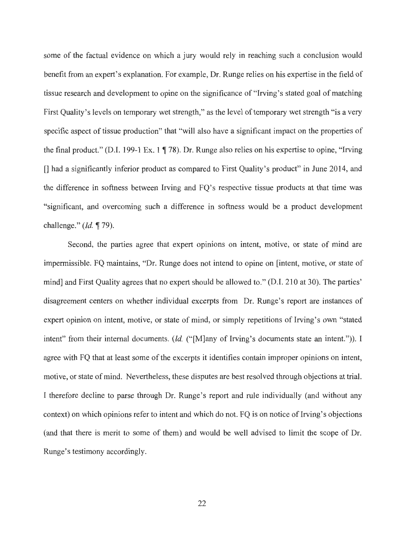some of the factual evidence on which a jury would rely in reaching such a conclusion would benefit from an expert's explanation. For example, Dr. Runge relies on his expertise in the field of tissue research and development to opine on the significance of "Irving's stated goal of matching First Quality's levels on temporary wet strength," as the level of temporary wet strength "is a very specific aspect of tissue production" that "will also have a significant impact on the properties of the final product." (D.I. 199-1 Ex. 1  $\parallel$  78). Dr. Runge also relies on his expertise to opine, "Irving [] had a significantly inferior product as compared to First Quality's product" in June 2014, and the difference in softness between Irving and FQ's respective tissue products at that time was "significant, and overcoming such a difference in softness would be a product development challenge." *(Id.* ¶ 79).

Second, the parties agree that expert opinions on intent, motive, or state of mind are impermissible. FQ maintains, "Dr. Runge does not intend to opine on [intent, motive, or state of mind] and First Quality agrees that no expert should be allowed to." (D.I. 210 at 30). The parties' disagreement centers on whether individual excerpts from Dr. Runge's report are instances of expert opinion on intent, motive, or state of mind, or simply repetitions of Irving's own "stated intent" from their internal documents. *(Id.* ("[M]any of Irving's documents state an intent.")). I agree with FQ that at least some of the excerpts it identifies contain improper opinions on intent, motive, or state of mind. Nevertheless, these disputes are best resolved through objections at trial. I therefore decline to parse through Dr. Runge's report and rule individually (and without any context) on which opinions refer to intent and which do not. FQ is on notice of Irving's objections (and that there is merit to some of them) and would be well advised to limit the scope of Dr. Runge's testimony accordingly.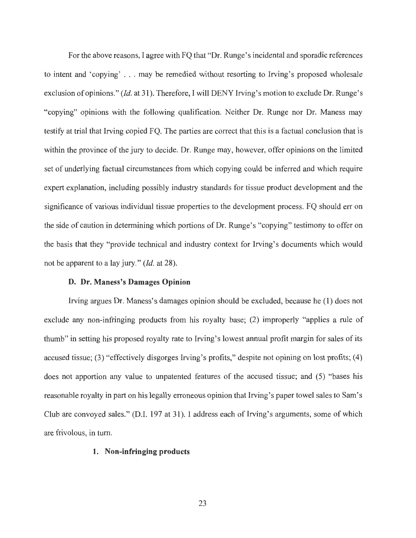For the above reasons, I agree with FQ that "Dr. Runge's incidental and sporadic references to intent and 'copying' .. . may be remedied without resorting to Irving's proposed wholesale exclusion of opinions." *(Id.* at 31). Therefore, I will DENY Irving's motion to exclude Dr. Runge's "copying" opinions with the following qualification. Neither Dr. Runge nor Dr. Maness may testify at trial that Irving copied FQ. The parties are correct that this is a factual conclusion that is within the province of the jury to decide. Dr. Runge may, however, offer opinions on the limited set of underlying factual circumstances from which copying could be inferred and which require expert explanation, including possibly industry standards for tissue product development and the significance of various individual tissue properties to the development process. FQ should err on the side of caution in determining which portions of Dr. Runge's "copying" testimony to offer on the basis that they "provide technical and industry context for Irving's documents which would not be apparent to a lay jury." *(Id.* at 28).

## **D. Dr. Maness's Damages Opinion**

Irving argues Dr. Maness's damages opinion should be excluded, because he (1) does not exclude any non-infringing products from his royalty base; (2) improperly "applies a rule of thumb" in setting his proposed royalty rate to Irving's lowest annual profit margin for sales of its accused tissue; (3) "effectively disgorges Irving's profits," despite not opining on lost profits; (4) does not apportion any value to unpatented features of the accused tissue; and (5) "bases his reasonable royalty in part on his legally erroneous opinion that Irving's paper towel sales to Sam's Club are convoyed sales." (D.I. 197 at 31). I address each of Irving's arguments, some of which are frivolous, in turn.

#### **1. Non-infringing products**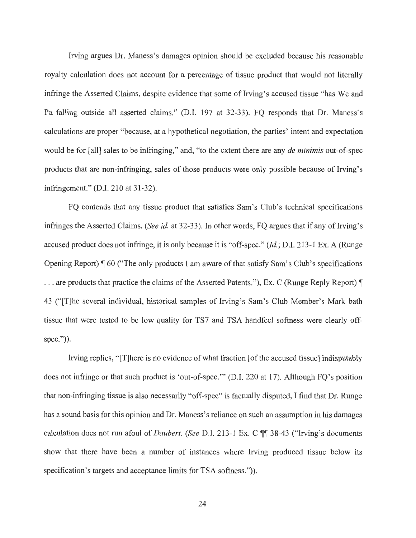Irving argues Dr. Maness's damages opinion should be excluded because his reasonable royalty calculation does not account for a percentage of tissue product that would not literally infringe the Asserted Claims, despite evidence that some of Irving's accused tissue "has We and Pa falling outside all asserted claims." (D.I. 197 at 32-33). FQ responds that Dr. Maness's calculations are proper "because, at a hypothetical negotiation, the parties' intent and expectation would be for [all] sales to be infringing," and, "to the extent there are any *de minimis* out-of-spec products that are non-infringing, sales of those products were only possible because of Irving's infringement." (D.I. 210 at 31-32).

FQ contends that any tissue product that satisfies Sam's Club's technical specifications infringes the Asserted Claims. *(See id. at* 32-33). In other words, FQ argues that if any of Irving's accused product does not infringe, it is only because it is "off-spec." *(Id.;* D .I. 213-1 Ex. A (Runge Opening Report)  $\parallel$  60 ("The only products I am aware of that satisfy Sam's Club's specifications ... are products that practice the claims of the Asserted Patents."), Ex. C (Runge Reply Report)  $\P$ 43 ("[T]he several individual, historical samples of Irving's Sam's Club Member's Mark bath tissue that were tested to be low quality for TS7 and TSA handfeel softness were clearly offspec.")).

Irving replies, "[T]here is no evidence of what fraction [of the accused tissue] indisputably does not infringe or that such product is 'out-of-spec.'" (D.I. 220 at 17). Although FQ's position that non-infringing tissue is also necessarily "off-spec" is factually disputed, I find that Dr. Runge has a sound basis for this opinion and Dr. Maness's reliance on such an assumption in his damages calculation does not run afoul of *Daubert.* (See D.I. 213-1 Ex. C ¶¶ 38-43 ("Irving's documents show that there have been a number of instances where Irving produced tissue below its specification's targets and acceptance limits for TSA softness.")).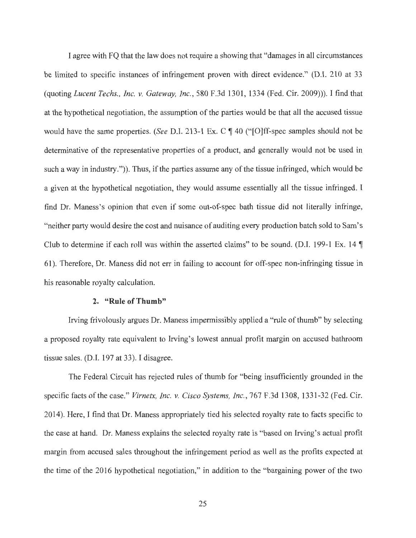I agree with FQ that the law does not require a showing that "damages in all circumstances be limited to specific instances of infringement proven with direct evidence." (D.I. 210 at 33 (quoting *Lucent Techs., Inc. v. Gateway, Inc.,* 580 F.3d 1301, 1334 (Fed. Cir. 2009))). I find that at the hypothetical negotiation, the assumption of the parties would be that all the accused tissue would have the same properties. *(See D.I. 213-1 Ex. C ¶ 40 ("[O]ff-spec samples should not be* determinative of the representative properties of a product, and generally would not be used in such a way in industry.")). Thus, if the parties assume any of the tissue infringed, which would be a given at the hypothetical negotiation, they would assume essentially all the tissue infringed. I find Dr. Maness's opinion that even if some out-of-spec bath tissue did not literally infringe, "neither party would desire the cost and nuisance of auditing every production batch sold to Sam's Club to determine if each roll was within the asserted claims" to be sound. (D.I. 199-1 Ex. 14  $\P$ 61). Therefore, Dr. Maness did not err in failing to account for off-spec non-infringing tissue in his reasonable royalty calculation.

#### **2. "Rule of Thumb"**

Irving frivolously argues Dr. Maness impermissibly applied a "rule of thumb" by selecting a proposed royalty rate equivalent to Irving's lowest annual profit margin on accused bathroom tissue sales. (D.I. 197 at 33). I disagree.

The Federal Circuit has rejected rules of thumb for "being insufficiently grounded in the specific facts of the case." *Virnetx, Inc. v. Cisco Systems, Inc.,* 767 F.3d 1308, 1331-32 (Fed. Cir. 2014). Here, I find that Dr. Maness appropriately tied his selected royalty rate to facts specific to the case at hand. Dr. Maness explains the selected royalty rate is "based on Irving's actual profit margin from accused sales throughout the infringement period as well as the profits expected at the time of the 2016 hypothetical negotiation," in addition to the "bargaining power of the two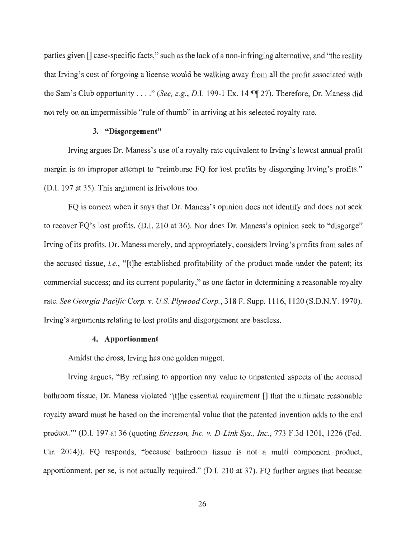parties given [] case-specific facts," such as the lack of a non-infringing alternative, and "the reality that Irving's cost of forgoing a license would be walking away from all the profit associated with the Sam's Club opportunity . . . ." *(See, e.g., D.I. 199-1 Ex. 14*  $\P$  27). Therefore, Dr. Maness did not rely on an impermissible "rule of thumb" in arriving at his selected royalty rate.

#### **3. "Disgorgement"**

Irving argues Dr. Maness's use of a royalty rate equivalent to Irving's lowest annual profit margin is an improper attempt to "reimburse FQ for lost profits by disgorging Irving's profits." (D.I. 197 at 35). This argument is frivolous too.

FQ is correct when it says that Dr. Maness's opinion does not identify and does not seek to recover FQ's lost profits. (D.I. 210 at 36). Nor does Dr. Maness's opinion seek to "disgorge" Irving of its profits. Dr. Maness merely, and appropriately, considers Irving's profits from sales of the accused tissue, *i.e.,* "[t]he established profitability of the product made under the patent; its commercial success; and its current popularity," as one factor in determining a reasonable royalty rate. *See Georgia-Pacific Corp. v.* US *Plywood Corp.,* 318 F. Supp. 1116, 1120 (S.D.N.Y. 1970). Irving's arguments relating to lost profits and disgorgement are baseless.

#### **4. Apportionment**

Amidst the dross, Irving has one golden nugget.

Irving argues, "By refusing to apportion any value to unpatented aspects of the accused bathroom tissue, Dr. Maness violated '[t]he essential requirement [] that the ultimate reasonable royalty award must be based on the incremental value that the patented invention adds to the end product."' (D.I. 197 at 36 (quoting *Ericsson, Inc. v. D-Link Sys., Inc.,* 773 F.3d 1201, 1226 (Fed. Cir. 2014)). FQ responds, "because bathroom tissue is not a multi component product, apportionment, per se, is not actually required." (D.I. 210 at 37). FQ further argues that because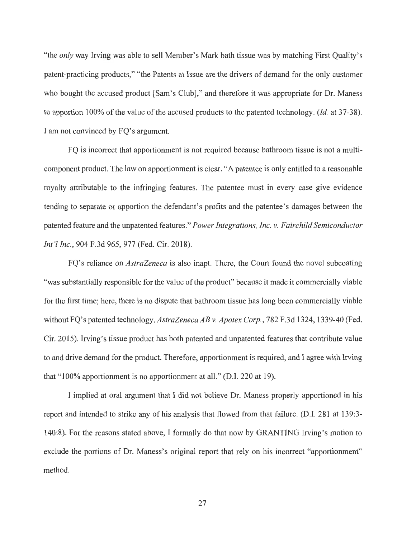"the *only* way Irving was able to sell Member's Mark bath tissue was by matching First Quality's patent-practicing products," "the Patents at Issue are the drivers of demand for the only customer who bought the accused product [Sam's Club]," and therefore it was appropriate for Dr. Maness to apportion 100% of the value of the accused products to the patented technology. *(Id.* at 37-38). I am not convinced by FQ's argument.

FQ is incorrect that apportionment is not required because bathroom tissue is not a multicomponent product. The law on apportionment is clear. "A patentee is only entitled to a reasonable royalty attributable to the infringing features. The patentee must in every case give evidence tending to separate or apportion the defendant's profits and the patentee's damages between the patented feature and the unpatented features." *Power Integrations, Inc. v. Fairchild Semiconductor Int '/ Inc.,* 904 F.3d 965,977 (Fed. Cir. 2018).

FQ's reliance on *AstraZeneca* is also inapt. There, the Court found the novel subcoating "was substantially responsible for the value of the product" because it made it commercially viable for the first time; here, there is no dispute that bathroom tissue has long been commercially viable without FQ's patented technology. AstraZeneca AB v. Apotex Corp., 782 F.3d 1324, 1339-40 (Fed. Cir. 2015). Irving's tissue product has both patented and unpatented features that contribute value to and drive demand for the product. Therefore, apportionment is required, and I agree with Irving that "100% apportionment is no apportionment at all." (D.I. 220 at 19).

I implied at oral argument that I did not believe Dr. Maness properly apportioned in his report and intended to strike any of his analysis that flowed from that failure. (D.I. 281 at 139:3- 140:8). For the reasons stated above, I formally do that now by GRANTING Irving's motion to exclude the portions of Dr. Maness's original report that rely on his incorrect "apportionment" method.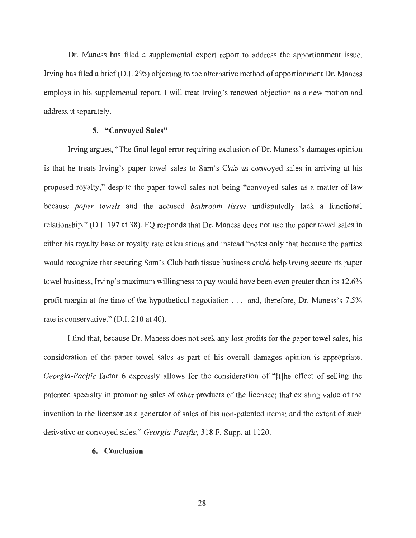Dr. Maness has filed a supplemental expert report to address the apportionment issue. Irving has filed a brief (D.I. 295) objecting to the alternative method of apportionment Dr. Maness . employs in his supplemental report. I will treat Irving's renewed objection as a new motion and address it separately.

## **5. "Convoyed Sales"**

Irving argues, "The final legal error requiring exclusion of Dr. Maness's damages opinion is that he treats Irving's paper towel sales to Sam's Club as convoyed sales in arriving at his proposed royalty," despite the paper towel sales not being "convoyed sales as a matter of law because *paper towels* and the accused *bathroom tissue* undisputedly lack a functional relationship." (D.I. 197 at 38). FQ responds that Dr. Maness does not use the paper towel sales in either his royalty base or royalty rate calculations and instead "notes only that because the parties would recognize that securing Sam's Club bath tissue business could help Irving secure its paper towel business, Irving's maximum willingness to pay would have been even greater than its 12.6% profit margin at the time of the hypothetical negotiation . . . and, therefore, Dr. Maness's 7.5% rate is conservative." (D.I. 210 at 40).

I find that, because Dr. Maness does not seek any lost profits for the paper towel sales, his consideration of the paper towel sales as part of his overall damages opinion is appropriate. *Georgia-Pacific* factor 6 expressly allows for the consideration of "[t]he effect of selling the patented specialty in promoting sales of other products of the licensee; that existing value of the invention to the licensor as a generator of sales of his non-patented items; and the extent of such derivative or convoyed sales." *Georgia-Pacific,* 318 F. Supp. at 1120.

#### **6. Conclusion**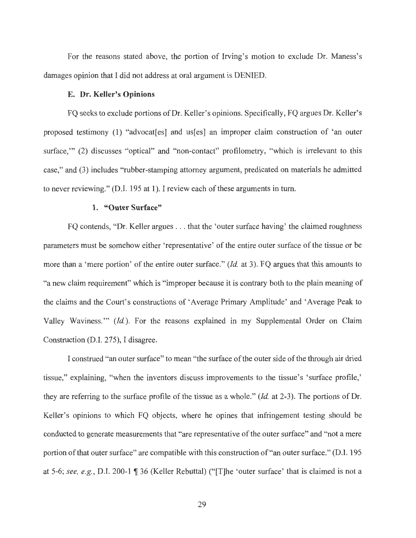For the reasons stated above, the portion of Irving's motion to exclude Dr. Maness's damages opinion that I did not address at oral argument is DENIED.

## **E. Dr. Keller's Opinions**

FQ seeks to exclude portions of Dr. Keller's opinions. Specifically, FQ argues Dr. Keller's proposed testimony (1) "advocat[es] and us[es] an improper claim construction of 'an outer surface," (2) discusses "optical" and "non-contact" profilometry, "which is irrelevant to this case," and (3) includes "rubber-stamping attorney argument, predicated on materials he admitted to never reviewing." (D.I. 195 at 1). I review each of these arguments in tum.

## **1. "Outer Surface"**

FQ contends, "Dr. Keller argues ... that the 'outer surface having' the claimed roughness parameters must be somehow either 'representative' of the entire outer surface of the tissue or be more than a 'mere portion' of the entire outer surface." *(Id.* at 3). FQ argues that this amounts to "a. new claim requirement" which is "improper because it is contrary both to the plain meaning of the claims and the Court's constructions of 'Average Primary Amplitude' and 'Average Peak to Valley Waviness."' *(Id.).* For the reasons explained in my Supplemental Order on Claim Construction (D.I. 275), I disagree.

I construed "an outer surface" to mean "the surface of the outer side of the through air dried tissue," explaining, "when the inventors discuss improvements to the tissue's 'surface profile,' they are referring to the surface profile of the tissue as a whole." *(Id.* at 2-3). The portions of Dr. Keller's opinions to which FQ objects, where he opines that infringement testing should be conducted to generate measurements that "are representative of the outer surface" and "not a mere portion of that outer surface" are compatible with this construction of "an outer surface." (D.I. 195 at 5-6; see, e.g., D.I. 200-1 **| 36** (Keller Rebuttal) ("The 'outer surface' that is claimed is not a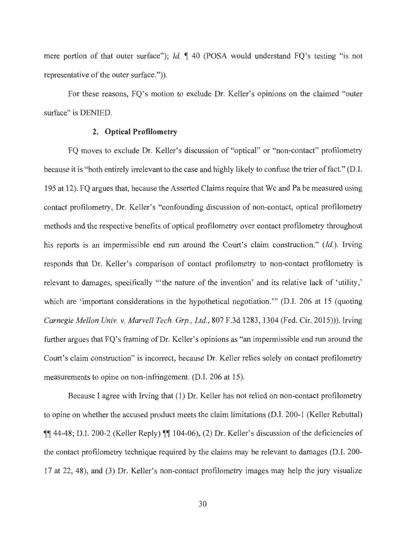mere portion of that outer surface"); *Id.*  $\parallel$  40 (POSA would understand FQ's testing "is not representative of the outer surface.")).

For these reasons, FQ's motion to exclude Dr. Keller's opinions on the claimed "outer surface" is DENIED.

## **2. Optical Profilometry**

FQ moves to exclude Dr. Keller's discussion of "optical" or "non-contact" profilometry because it is "both entirely irrelevant to the case and highly likely to confuse the trier of fact. " (D.I. 195 at 12). FQ argues that, because the Asserted Claims require that We and Pa be measured using contact profilometry, Dr. Keller's "confounding discussion of non-contact, optical profilometry methods and the respective benefits of optical profilometry over contact profilometry throughout his reports is an impermissible end run around the Court's claim construction." *(Id.).* Irving responds that Dr. Keller's comparison of contact profilometry to non-contact profilometry is relevant to damages, specifically "'the nature of the invention' and its relative lack of 'utility,' which are 'important considerations in the hypothetical negotiation." (D.I. 206 at 15 (quoting *Carnegie Mellon Univ. v. Marvell Tech. Grp., Ltd. ,* 807 F.3d 1283, 1304 (Fed. Cir. 2015))). Irving further argues that FQ's framing of Dr. Keller's opinions as "an impermissible end run around the Court's claim construction" is incorrect, because Dr. Keller relies solely on contact profilometry measurements to opine on non-infringement. (D.I. 206 at 15).

Because I agree with Irving that (1) Dr. Keller has not relied on non-contact profilometry to opine on whether the accused product meets the claim limitations (D.I. 200-1 (Keller Rebuttal) **\\epset{\math{3}** 44-48; D.I. 200-2 (Keller Reply)  $\mathbb{I}$  104-06), (2) Dr. Keller's discussion of the deficiencies of the contact profilometry technique required by the claims may be relevant to damages (D.I. 200- 17 at 22, 48), and (3) Dr. Keller's non-contact profilometry images may help the jury visualize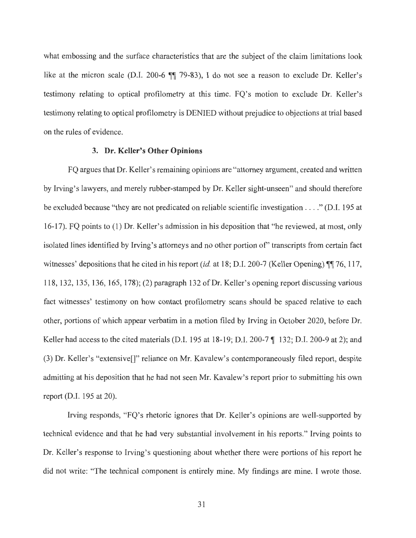what embossing and the surface characteristics that are the subject of the claim limitations look like at the micron scale (D.I. 200-6  $\P$  79-83), I do not see a reason to exclude Dr. Keller's testimony relating to optical profilometry at this time. FQ's motion to exclude Dr. Keller's testimony relating to optical profilometry is DENIED without prejudice to objections at trial based on the rules of evidence.

## **3. Dr. Keller's Other Opinions**

FQ argues that Dr. Keller's remaining opinions are "attorney argument, created and written by Irving's lawyers, and merely rubber-stamped by Dr. Keller sight-unseen" and should therefore be excluded because "they are not predicated on reliable scientific investigation .. . . " (D.I. 195 at 16-17). FQ points to (1) Dr. Keller's admission in his deposition that "he reviewed, at most, only isolated lines identified by Irving's attorneys and no other portion of' transcripts from certain fact witnesses' depositions that he cited in his report *(id. at 18; D.I. 200-7 (Keller Opening)* **117**, *117,* 118, 132, 135, 136, 165, 178); (2) paragraph 132 of Dr. Keller's opening report discussing various fact witnesses' testimony on how contact profilometry scans should be spaced relative to each other, portions of which appear verbatim in a motion filed by Irving in October 2020, before Dr. Keller had access to the cited materials (D.I. 195 at 18-19; D.I. 200-7  $\P$  132; D.I. 200-9 at 2); and (3) Dr. Keller's "extensive[]" reliance on Mr. Kavalew's contemporaneously filed report, despite admitting at his deposition that he had not seen Mr. Kavalew's report prior to submitting his own report (D.I. 195 at 20).

Irving responds, "FQ's rhetoric ignores that Dr. Keller's opinions are well-supported by technical evidence and that he had very substantial involvement in his reports." Irving points to Dr. Keller's response to Irving's questioning about whether there were portions of his report he did not write: "The technical component is entirely mine. My findings are mine. I wrote those.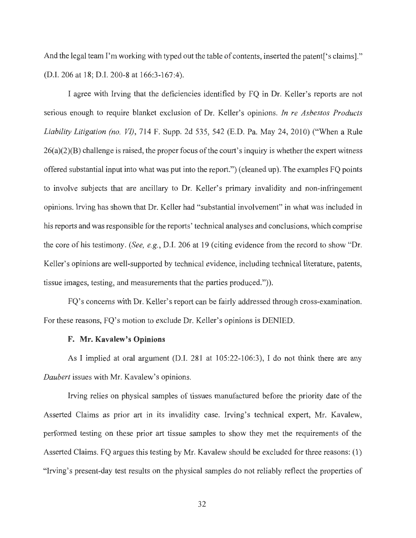And the legal team I'm working with typed out the table of contents, inserted the patent ['s claims]." (D.I. 206 at 18; D.I. 200-8 at 166:3-167:4).

I agree with Irving that the deficiencies identified by FQ in Dr. Keller's reports are not serious enough to require blanket exclusion of Dr. Keller's opinions. *In re Asbestos Products Liability Litigation (no. VI) ,* 714 F. Supp. 2d 535, 542 (E.D. Pa. May 24, 2010) ("When a Rule  $26(a)(2)(B)$  challenge is raised, the proper focus of the court's inquiry is whether the expert witness offered substantial input into what was put into the report.") ( cleaned up). The examples FQ points to involve subjects that are ancillary to Dr. Keller's primary invalidity and non-infringement opinions. Irving has shown that Dr. Keller had "substantial involvement" in what was included in his reports and was responsible for the reports' technical analyses and conclusions, which comprise the core of his testimony. *(See, e.g. ,* D.I. 206 at 19 (citing evidence from the record to show "Dr. Keller's opinions are well-supported by technical evidence, including technical literature, patents, tissue images, testing, and measurements that the parties produced.")).

FQ's concerns with Dr. Keller's report can be fairly addressed through cross-examination. For these reasons, FQ's motion to exclude Dr. Keller's opinions is DENIED.

#### **F. Mr. Kavalew's Opinions**

As I implied at oral argument (D.I. 281 at 105:22-106:3), I do not think there are any *Daubert* issues with Mr. Kavalew's opinions.

Irving relies on physical samples of tissues manufactured before the priority date of the Asserted Claims as prior art in its invalidity case. Irving's technical expert, Mr. Kavalew, performed testing on these prior art tissue samples to show they met the requirements of the Asserted Claims. FQ argues this testing by Mr. Kavalew should be excluded for three reasons: (1 ) "Irving's present-day test results on the physical samples do not reliably reflect the properties of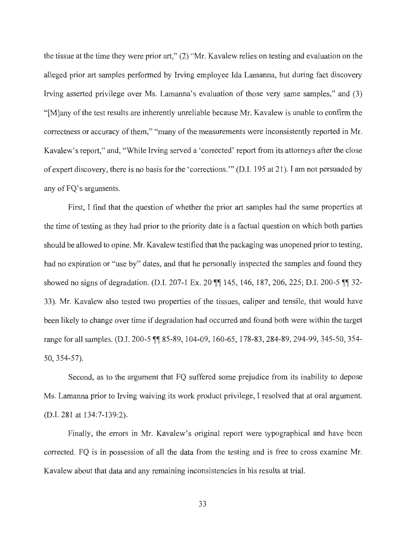the tissue at the time they were prior art," (2) "Mr. Kavalew relies on testing and evaluation on the alleged prior art samples performed by Irving employee Ida Lamanna, but during fact discovery Irving asserted privilege over Ms. Lamanna's evaluation of those very same samples," and (3) "[M]any of the test results are inherently unreliable because Mr. Kavalew is unable to confirm the correctness or accuracy of them," "many of the measurements were inconsistently reported in Mr. Kavalew's report," and, "While Irving served a 'corrected' report from its attorneys after the close of expert discovery, there is no basis for the 'corrections.'" (D.I. 195 at 21 ). I am not persuaded by any of FO's arguments.

First, I find that the question of whether the prior art samples had the same properties at the time of testing as they had prior to the priority date is a factual question on which both parties should be allowed to opine. Mr. Kavalew testified that the packaging was unopened prior to testing, had no expiration or "use by" dates, and that he personally inspected the samples and found they showed no signs of degradation. (D.I. 207-1 Ex. 20  $\mathbb{I}$  145, 146, 187, 206, 225; D.I. 200-5  $\mathbb{I}$  32-33). Mr. Kavalew also tested two properties of the tissues, caliper and tensile, that would have been likely to change over time if degradation had occurred and found both were within the target range for all samples. (D.I. 200-5  $\sqrt{\$}85-89$ , 104-09, 160-65, 178-83, 284-89, 294-99, 345-50, 354-50, 354-57).

Second, as to the argument that FQ suffered some prejudice from its inability to depose Ms. Lamanna prior to Irving waiving its work product privilege, I resolved that at oral argument. (D.I. 281 at 134:7-139:2).

Finally, the errors in Mr. Kavalew's original report were typographical and have been corrected. FQ is in possession of all the data from the testing and is free to cross examine Mr. Kavalew about that data and any remaining inconsistencies in his results at trial.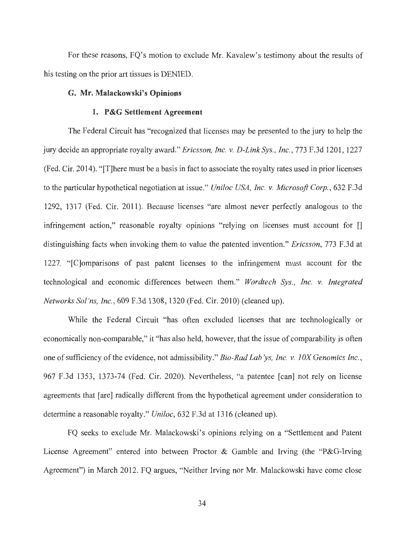For these reasons, FQ's motion to exclude Mr. Kavalew's testimony about the results of his testing on the prior art tissues is DENIED.

## **G. Mr. Malackowski's Opinions**

## **1. P&G Settlement Agreement**

The Federal Circuit has "recognized that licenses may be presented to the jury to help the jury decide an appropriate royalty award." *Ericsson, Inc. v. D-Link Sys. , Inc.,* 773 F.3d 1201 , 1227 (Fed. Cir. 2014). "[T]here must be a basis in fact to associate the royalty rates used in prior licenses to the particular hypothetical negotiation at issue." *Uniloc USA, Inc. v. Microsoft Corp. ,* 632 F.3d 1292, 1317 (Fed. Cir. 2011). Because licenses "are almost never perfectly analogous to the infringement action," reasonable royalty opinions "relying on licenses must account for [] distinguishing facts when invoking them to value the patented invention." *Ericsson,* 773 F.3d at 1227. " [C]omparisons of past patent licenses to the infringement must account for the technological and economic differences between them." *Wordtech Sys., Inc. v. Integrated Networks Sol 'ns, Inc.,* 609 F.3d 1308, 1320 (Fed. Cir. 2010) (cleaned up).

While the Federal Circuit "has often excluded licenses that are technologically or economically non-comparable," it "has also held, however, that the issue of comparability is often one of sufficiency of the evidence, not admissibility." *Bio-Rad Lab ys, Inc. v. JOX Genomics Inc.,*  967 F.3d 1353, 1373-74 (Fed. Cir. 2020). Nevertheless, "a patentee [can] not rely on license agreements that [are] radically different from the hypothetical agreement under consideration to determine a reasonable royalty." *Uniloc,* 632 F.3d at 1316 (cleaned up).

FQ seeks to exclude Mr. Malackowski's opinions relying on a "Settlement and Patent License Agreement" entered into between Proctor & Gamble and Irving (the "P&G-Irving Agreement") in March 2012. FQ argues, "Neither Irving nor Mr. Malackowski have come close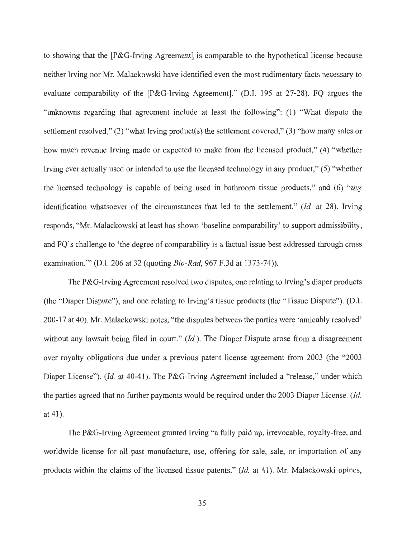to showing that the [P&G-lrving Agreement] is comparable to the hypothetical license because neither Irving nor Mr. Malackowski have identified even the most rudimentary facts necessary to evaluate comparability of the [P&G-lrving Agreement]." (D.I. 195 at 27-28). FQ argues the "unknowns regarding that agreement include at least the following": (1) "What dispute the settlement resolved," (2) "what Irving product(s) the settlement covered," (3) "how many sales or how much revenue Irving made or expected to make from the licensed product," (4) "whether Irving ever actually used or intended to use the licensed technology in any product," (5) "whether the licensed technology is capable of being used in bathroom tissue products," and (6) "any identification whatsoever of the circumstances that led to the settlement." *(Id.* at 28). Irving responds, "Mr. Malackowski at least has shown 'baseline comparability' to support admissibility, and FQ's challenge to 'the degree of comparability is a factual issue best addressed through cross examination."' (D.1. 206 at 32 (quoting *Bio-Rad,* 967 F.3d at 1373-74)).

The P&G-lrving Agreement resolved two disputes, one relating to Irving's diaper products (the "Diaper Dispute"), and one relating to Irving's tissue products (the "Tissue Dispute"). (D.I. 200-17 at 40). Mr. Malackowski notes, "the disputes between the parties were 'amicably resolved' without any lawsuit being filed in court." *(Id.)*. The Diaper Dispute arose from a disagreement over royalty obligations due under a previous patent license agreement from 2003 (the "2003 Diaper License"). *(Id. at 40-41)*. The P&G-Irving Agreement included a "release," under which the parties agreed that no further payments would be required under the 2003 Diaper License. *(Id.*  at  $41$ ).

The P&G-lrving Agreement granted Irving "a fully paid up, irrevocable, royalty-free, and worldwide license for all past manufacture, use, offering for sale, sale, or importation of any products within the claims of the licensed tissue patents." *(Id.* at 41 ). Mr. Malackowski opines,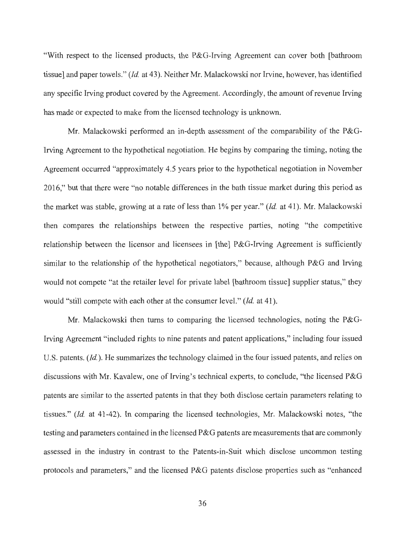"With respect to the licensed products, the P&G-Irving Agreement can cover both (bathroom tissue] and paper towels." *(Id.* at 43). Neither Mr. Malackowski nor Irvine, however, has identified any specific Irving product covered by the Agreement. Accordingly, the amount of revenue Irving has made or expected to make from the licensed technology is unknown.

Mr. Malackowski performed an in-depth assessment of the comparability of the P&G-Irving Agreement to the hypothetical negotiation. He begins by comparing the timing, noting the Agreement occurred "approximately 4.5 years prior to the hypothetical negotiation in November 2016," but that there were "no notable differences in the bath tissue market during this period as the market was stable, growing at a rate of less than 1 % per year." *(Id.* at 41 ). Mr. Malackowski then compares the relationships between the respective parties, noting "the competitive relationship between the licensor and licensees in [the] P&G-Irving Agreement is sufficiently similar to the relationship of the hypothetical negotiators," because, although P&G and Irving would not compete "at the retailer level for private label (bathroom tissue] supplier status," they would "still compete with each other at the consumer level." *(Id.* at 41 ).

Mr. Malackowski then turns to comparing the licensed technologies, noting the P&G-Irving Agreement "included rights to nine patents and patent applications," including four issued U.S. patents. *(Id.).* He summarizes the technology claimed in the four issued patents, and relies on discussions with Mr. Kavalew, one of Irving's technical experts, to conclude, "the licensed P&G patents are similar to the asserted patents in that they both disclose certain parameters relating to tissues." *(Id.* at 41-42). In comparing the licensed technologies, Mr. Malackowski notes, "the testing and parameters contained in the licensed P&G patents are measurements that are commonly assessed in the industry in contrast to the Patents-in-Suit which disclose uncommon testing protocols and parameters," and the licensed P&G patents disclose properties such as "enhanced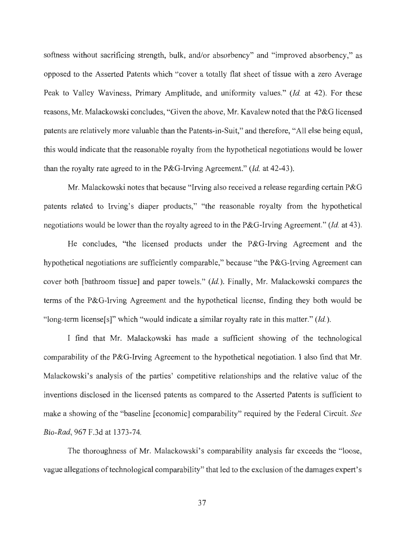softness without sacrificing strength, bulk, and/or absorbency" and "improved absorbency," as opposed to the Asserted Patents which "cover a totally flat sheet of tissue with a zero Average Peak to Valley Waviness, Primary Amplitude, and uniformity values." *(Id.* at 42). For these reasons, Mr. Malackowski concludes, "Given the above, Mr. Kavalew noted that the P&G licensed patents are relatively more valuable than the Patents-in-Suit," and therefore, "All else being equal, this would indicate that the reasonable royalty from the hypothetical negotiations would be lower than the royalty rate agreed to in the P&G-Irving Agreement." *(Id.* at 42-43).

Mr. Malackowski notes that because "Irving also received a release regarding certain  $P\&G$ patents related to Irving's diaper products," "the reasonable royalty from the hypothetical negotiations would be lower than the royalty agreed to in the P&G-Irving Agreement." *(Id.* at 43).

He concludes, "the licensed products under the P&G-Irving Agreement and the hypothetical negotiations are sufficiently comparable," because "the P&G-Irving Agreement can cover both [bathroom tissue] and paper towels." *(Id.).* Finally, Mr. Malackowski compares the terms of the P&G-Irving Agreement and the hypothetical license, finding they both would be "long-term license[s]" which "would indicate a similar royalty rate in this matter." *(Id.)*.

I find that Mr. Malackowski has made a sufficient showing of the technological comparability of the P&G-Irving Agreement to the hypothetical negotiation. I also find that Mr. Malackowski's analysis of the parties' competitive relationships and the relative value of the inventions disclosed in the licensed patents as compared to the Asserted Patents is sufficient to make a showing of the "baseline [economic] comparability" required by the Federal Circuit. *See Bio-Rad,* 967 F.3d at 1373-74.

The thoroughness of Mr. Malackowski's comparability analysis far exceeds the "loose, vague allegations of technological comparability" that led to the exclusion of the damages expert's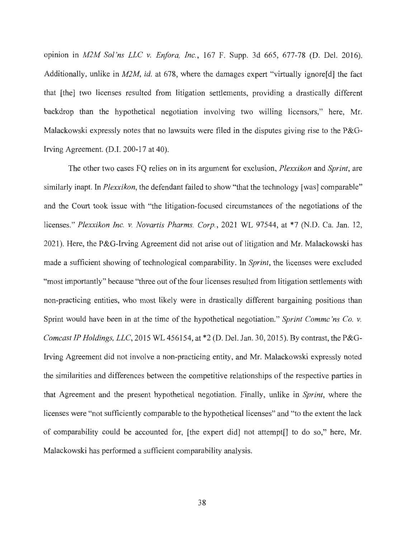opinion in *M2M Sol'ns LLC v. Enfora, Inc.,* 167 F. Supp. 3d 665, 677-78 (D. Del. 2016). Additionally, unlike in *M2M, id.* at 678, where the damages expert "virtually ignore<sup>[d]</sup> the fact that [the] two licenses resulted from litigation settlements, providing a drastically different backdrop than the hypothetical negotiation involving two willing licensors," here, Mr. Malackowski expressly notes that no lawsuits were filed in the disputes giving rise to the P&G-Irving Agreement. (D.I. 200-17 at 40).

The other two cases FQ relies on in its argument for exclusion, *Plexxikon* and *Sprint,* are similarly inapt. In *Plexxikon*, the defendant failed to show "that the technology [was] comparable" and the Court took issue with "the litigation-focused circumstances of the negotiations of the licenses." *Plexxikon Inc. v. Novartis Pharms. Corp.,* 2021 WL 97544, at \*7 (N.D. Ca. Jan. 12, 2021). Here, the P&G-Irving Agreement did not arise out of litigation and Mr. Malackowski has made a sufficient showing of technological comparability. In *Sprint,* the licenses were excluded "most importantly" because "three out of the four licenses resulted from litigation settlements with non-practicing entities, who most likely were in drastically different bargaining positions than Sprint would have been in at the time of the hypothetical negotiation." *Sprint Commc 'ns Co. v. Comcast IP Holdings, LLC,* 2015 WL 456154, at \*2 (D. Del. Jan. 30, 2015). By contrast, the P&G-Irving Agreement did not involve a non-practicing entity, and Mr. Malackowski expressly noted the similarities and differences between the competitive relationships of the respective parties in that Agreement and the present hypothetical negotiation. Finally, unlike in *Sprint,* where the licenses were "not sufficiently comparable to the hypothetical licenses" and "to the extent the lack of comparability could be accounted for, [the expert did] not attempt[] to do so," here, Mr. Malackowski has performed a sufficient comparability analysis.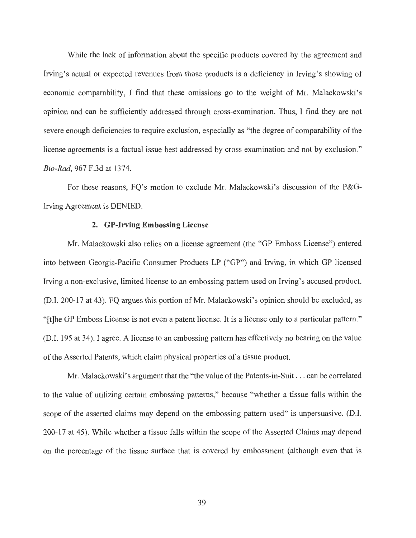While the lack of information about the specific products covered by the agreement and Irving's actual or expected revenues from those products is a deficiency in Irving's showing of economic comparability, I find that these omissions go to the weight of Mr. Malackowski's opinion and can be sufficiently addressed through cross-examination. Thus, I find they are not severe enough deficiencies to require exclusion, especially as "the degree of comparability of the license agreements is a factual issue best addressed by cross examination and not by exclusion." *Bio-Rad,* 967 F.3d at 1374.

For these reasons, FQ's motion to exclude Mr. Malackowski's discussion of the P&G-Irving Agreement is DENIED.

## **2. GP-Irving Embossing License**

Mr. Malackowski also relies on a license agreement (the "GP Emboss License") entered into between Georgia-Pacific Consumer Products LP ("GP") and Irving, in which GP licensed Irving a non-exclusive, limited license to an embossing pattern used on Irving's accused product. (D.I. 200-17 at 43). FQ argues this portion of Mr. Malackowski's opinion should be excluded, as "[t]he GP Emboss License is not even a patent license. It is a license only to a particular pattern." (D.I. 195 at 34). I agree. A license to an embossing pattern has effectively no bearing on the value of the Asserted Patents, which claim physical properties of a tissue product.

Mr. Malackowski's argument that the "the value of the Patents-in-Suit ... can be correlated to the value of utilizing certain embossing patterns," because "whether a tissue falls within the scope of the asserted claims may depend on the embossing pattern used" is unpersuasive. (D.I. 200-17 at 45). While whether a tissue falls within the scope of the Asserted Claims may depend on the percentage of the tissue surface that is covered by embossment (although even that is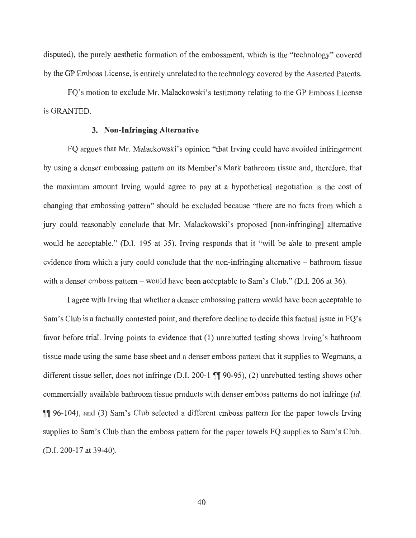disputed), the purely aesthetic formation of the embossment, which is the "technology" covered by the GP Emboss License, is entirely unrelated to the technology covered by the Asserted Patents.

FQ's motion to exclude Mr. Malackowski's testimony relating to the GP Emboss License is GRANTED.

#### **3. Non-Infringing Alternative**

FQ argues that Mr. Malackowski's opinion "that Irving could have avoided infringement by using a denser embossing pattern on its Member's Mark bathroom tissue and, therefore, that the maximum amount Irving would agree to pay at a hypothetical negotiation is the cost of changing that embossing pattern" should be excluded because "there are no facts from which a jury could reasonably conclude that Mr. Malackowski's proposed [non-infringing] alternative would be acceptable." (D.I. 195 at 35). Irving responds that it "will be able to present ample evidence from which a jury could conclude that the non-infringing alternative - bathroom tissue with a denser emboss pattern – would have been acceptable to Sam's Club." (D.I. 206 at 36).

I agree with Irving that whether a denser embossing pattern would have been acceptable to Sam's Club is a factually contested point, and therefore decline to decide this factual issue in FQ's favor before trial. Irving points to evidence that (1) unrebutted testing shows Irving's bathroom tissue made using the same base sheet and a denser emboss pattern that it supplies to Wegmans, a different tissue seller, does not infringe (D.I. 200-1  $\mathbb{I}$  90-95), (2) unrebutted testing shows other commercially available bathroom tissue products with denser emboss patterns do not infringe *(id.*  **TH** 96-104), and (3) Sam's Club selected a different emboss pattern for the paper towels Irving supplies to Sam's Club than the emboss pattern for the paper towels FQ supplies to Sam's Club. (D.I. 200-17 at 39-40).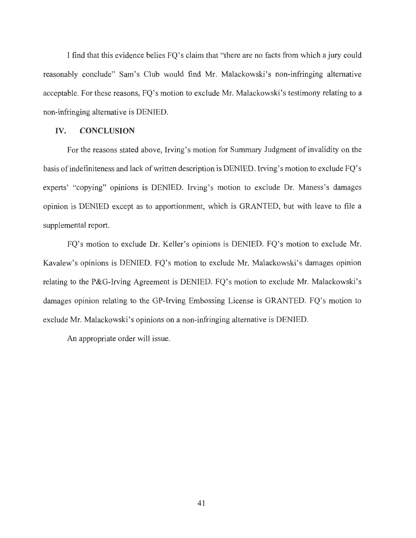I find that this evidence belies FQ's claim that "there are no facts from which a jury could reasonably conclude" Sam's Club would find Mr. Malackowski's non-infringing alternative acceptable. For these reasons, FQ's motion to exclude Mr. Malackowski's testimony relating to a non-infringing alternative is DENIED.

#### **IV. CONCLUSION**

For the reasons stated above, Irving's motion for Summary Judgment of invalidity on the basis of indefiniteness and lack of written description is DENIED. Irving's motion to exclude FQ's experts' "copying" opinions is DENIED. Irving's motion to exclude Dr. Maness's damages opinion is DENIED except as to apportionment, which is GRANTED, but with leave to file a supplemental report.

FQ's motion to exclude Dr. Keller's opinions is DENIED. FQ's motion to exclude Mr. Kavalew's opinions is DENIED. FQ's motion to exclude Mr. Malackowski's damages opinion relating to the P&G-Irving Agreement is DENIED. FQ's motion to exclude Mr. Malackowski's damages opinion relating to the GP-Irving Embossing License is GRANTED. FQ's motion to exclude Mr. Malackowski's opinions on a non-infringing alternative is DENIED.

An appropriate order will issue.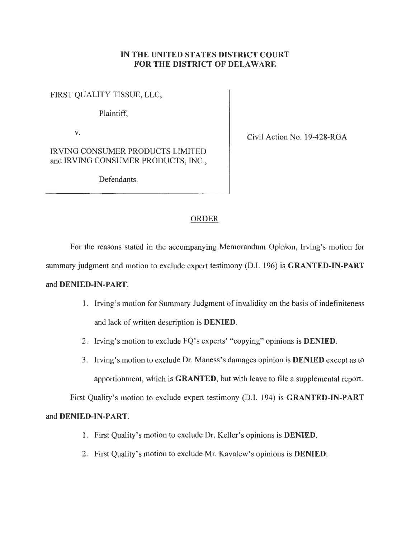## **IN THE UNITED STATES DISTRICT COURT FOR THE DISTRICT OF DELAWARE**

FIRST QUALITY TISSUE, LLC,

Plaintiff,

IRVING CONSUMER PRODUCTS LIMITED and IRVING CONSUMER PRODUCTS, INC.,

Defendants.

**V.** Civil Action No. 19-428-RGA

## ORDER

For the reasons stated in the accompanying Memorandum Opinion, Irving's motion for

summary judgment and motion to exclude expert testimony (D.I. 196) is **GRANTED-IN-PART** 

## and **DENIED-IN-PART.**

- 1. Irving's motion for Summary Judgment of invalidity on the basis of indefiniteness and lack of written description is **DENIED.**
- 2. Irving's motion to exclude FQ's experts' "copying" opinions is **DENIED.**
- 3. Irving's motion to exclude Dr. Maness's damages opinion is **DENIED** except as to apportionment, which is **GRANTED,** but with leave to file a supplemental report.

First Quality's motion to exclude expert testimony (D.I. 194) is **GRANTED-IN-PART** 

# and **DENIED-IN-PART.**

- 1. First Quality's motion to exclude Dr. Keller's opinions is **DENIED.**
- 2. First Quality's motion to exclude Mr. Kavalew's opinions is **DENIED.**